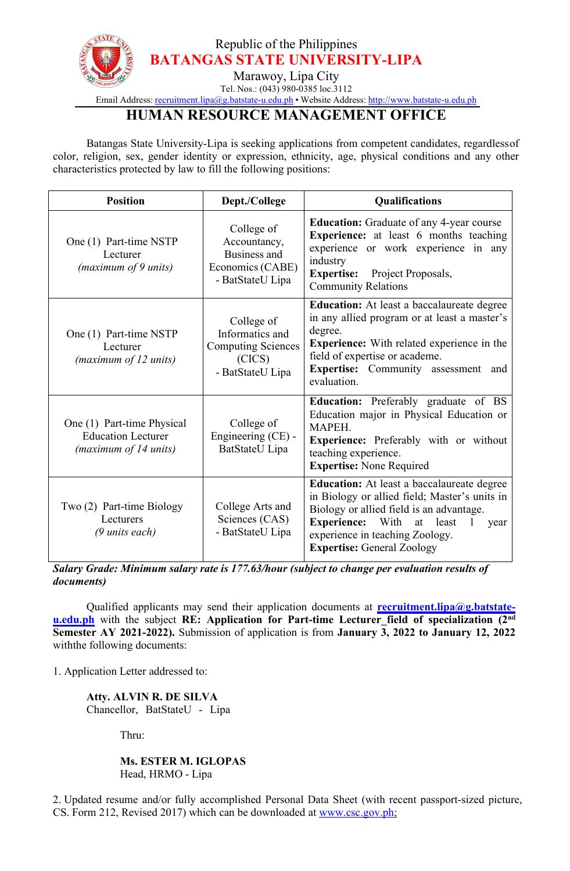

## Republic of the Philippines **BATANGAS STATE UNIVERSITY-LIPA**

Marawoy, Lipa City

Tel. Nos.: (043) 980-0385 loc.3112

Email Address: [recruitment.lipa@g.batstate-u.edu.ph](mailto:recruitment.lipa@g.batstate-u.edu.ph) • Website Address: [http://www.batstate-u.edu.ph](http://www.batstate-u.edu.ph/)

## **HUMAN RESOURCE MANAGEMENT OFFICE**

Batangas State University-Lipa is seeking applications from competent candidates, regardlessof color, religion, sex, gender identity or expression, ethnicity, age, physical conditions and any other characteristics protected by law to fill the following positions:

| <b>Position</b>                                                                  | Dept./College                                                                            | <b>Qualifications</b>                                                                                                                                                                                                                                                |
|----------------------------------------------------------------------------------|------------------------------------------------------------------------------------------|----------------------------------------------------------------------------------------------------------------------------------------------------------------------------------------------------------------------------------------------------------------------|
| One (1) Part-time NSTP<br>Lecturer<br>(maximum of 9 units)                       | College of<br>Accountancy,<br>Business and<br>Economics (CABE)<br>- BatStateU Lipa       | <b>Education:</b> Graduate of any 4-year course<br><b>Experience:</b> at least 6 months teaching<br>experience or work experience in any<br>industry<br><b>Expertise:</b><br>Project Proposals,<br><b>Community Relations</b>                                        |
| One (1) Part-time NSTP<br>Lecturer<br>(maximum of $12$ units)                    | College of<br>Informatics and<br><b>Computing Sciences</b><br>(CICS)<br>- BatStateU Lipa | <b>Education:</b> At least a baccalaureate degree<br>in any allied program or at least a master's<br>degree.<br><b>Experience:</b> With related experience in the<br>field of expertise or academe.<br>Expertise: Community assessment and<br>evaluation.            |
| One (1) Part-time Physical<br><b>Education Lecturer</b><br>(maximum of 14 units) | College of<br>Engineering (CE) -<br>BatStateU Lipa                                       | <b>Education:</b> Preferably graduate of BS<br>Education major in Physical Education or<br>MAPEH.<br><b>Experience:</b> Preferably with or without<br>teaching experience.<br><b>Expertise: None Required</b>                                                        |
| Two (2) Part-time Biology<br>Lecturers<br>$(9 \text{ units each})$               | College Arts and<br>Sciences (CAS)<br>- BatStateU Lipa                                   | <b>Education:</b> At least a baccalaureate degree<br>in Biology or allied field; Master's units in<br>Biology or allied field is an advantage.<br><b>Experience:</b> With at least 1<br>year<br>experience in teaching Zoology.<br><b>Expertise: General Zoology</b> |

*Salary Grade: Minimum salary rate is 177.63/hour (subject to change per evaluation results of documents)*

Qualified applicants may send their application documents at **[recruitment.lipa@g.batstate](mailto:recruitment.lipa@g.batstate-u.edu.ph) u.edu.ph** with the subject **RE: Application for Part-time Lecturer\_field of specialization (2 nd Semester AY 2021-2022).** Submission of application is from **January 3, 2022 to January 12, 2022** withthe following documents:

1. Application Letter addressed to:

**Atty. ALVIN R. DE SILVA** Chancellor, BatStateU - Lipa

Thru:

**Ms. ESTER M. IGLOPAS** Head, HRMO - Lipa

2. Updated resume and/or fully accomplished Personal Data Sheet (with recent passport-sized picture, CS. Form 212, Revised 2017) which can be downloaded at www.csc.gov.ph;